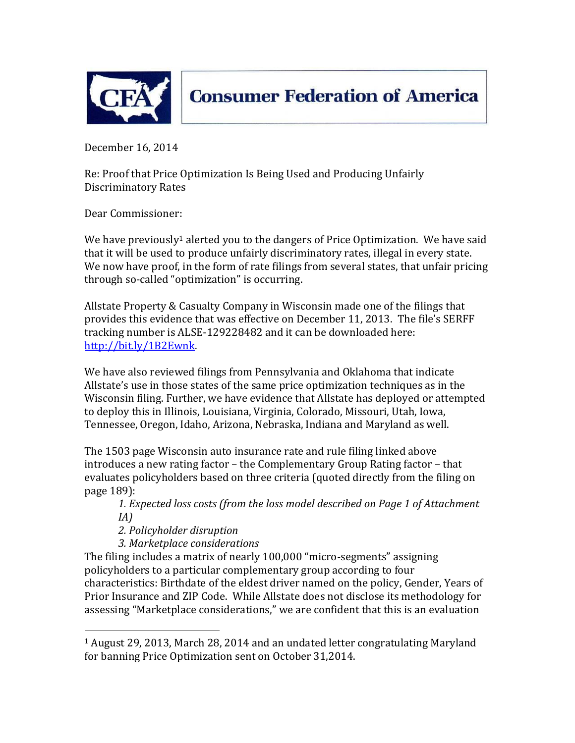

**Consumer Federation of America** 

December 16, 2014

Re: Proof that Price Optimization Is Being Used and Producing Unfairly Discriminatory Rates

Dear Commissioner:

We have previously<sup>1</sup> alerted you to the dangers of Price Optimization. We have said that it will be used to produce unfairly discriminatory rates, illegal in every state. We now have proof, in the form of rate filings from several states, that unfair pricing through so-called "optimization" is occurring.

Allstate Property & Casualty Company in Wisconsin made one of the filings that provides this evidence that was effective on December 11, 2013. The file's SERFF tracking number is ALSE-129228482 and it can be downloaded here: [http://bit.ly/1B2Ewnk.](http://bit.ly/1B2Ewnk)

We have also reviewed filings from Pennsylvania and Oklahoma that indicate Allstate's use in those states of the same price optimization techniques as in the Wisconsin filing. Further, we have evidence that Allstate has deployed or attempted to deploy this in Illinois, Louisiana, Virginia, Colorado, Missouri, Utah, Iowa, Tennessee, Oregon, Idaho, Arizona, Nebraska, Indiana and Maryland as well.

The 1503 page Wisconsin auto insurance rate and rule filing linked above introduces a new rating factor – the Complementary Group Rating factor – that evaluates policyholders based on three criteria (quoted directly from the filing on page 189):

*1. Expected loss costs (from the loss model described on Page 1 of Attachment IA)*

*2. Policyholder disruption*

 $\overline{\phantom{a}}$ 

*3. Marketplace considerations*

The filing includes a matrix of nearly 100,000 "micro-segments" assigning policyholders to a particular complementary group according to four characteristics: Birthdate of the eldest driver named on the policy, Gender, Years of Prior Insurance and ZIP Code. While Allstate does not disclose its methodology for assessing "Marketplace considerations," we are confident that this is an evaluation

<sup>1</sup> August 29, 2013, March 28, 2014 and an undated letter congratulating Maryland for banning Price Optimization sent on October 31,2014.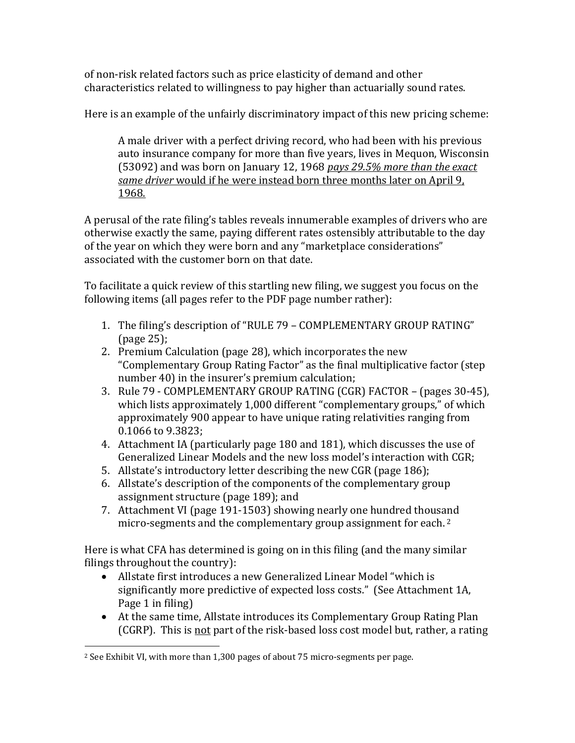of non-risk related factors such as price elasticity of demand and other characteristics related to willingness to pay higher than actuarially sound rates.

Here is an example of the unfairly discriminatory impact of this new pricing scheme:

A male driver with a perfect driving record, who had been with his previous auto insurance company for more than five years, lives in Mequon, Wisconsin (53092) and was born on January 12, 1968 *pays 29.5% more than the exact same driver* would if he were instead born three months later on April 9, 1968.

A perusal of the rate filing's tables reveals innumerable examples of drivers who are otherwise exactly the same, paying different rates ostensibly attributable to the day of the year on which they were born and any "marketplace considerations" associated with the customer born on that date.

To facilitate a quick review of this startling new filing, we suggest you focus on the following items (all pages refer to the PDF page number rather):

- 1. The filing's description of "RULE 79 COMPLEMENTARY GROUP RATING" (page 25);
- 2. Premium Calculation (page 28), which incorporates the new "Complementary Group Rating Factor" as the final multiplicative factor (step number 40) in the insurer's premium calculation;
- 3. Rule 79 COMPLEMENTARY GROUP RATING (CGR) FACTOR (pages 30-45), which lists approximately 1,000 different "complementary groups," of which approximately 900 appear to have unique rating relativities ranging from 0.1066 to 9.3823;
- 4. Attachment IA (particularly page 180 and 181), which discusses the use of Generalized Linear Models and the new loss model's interaction with CGR;
- 5. Allstate's introductory letter describing the new CGR (page 186);
- 6. Allstate's description of the components of the complementary group assignment structure (page 189); and
- 7. Attachment VI (page 191-1503) showing nearly one hundred thousand micro-segments and the complementary group assignment for each. 2

Here is what CFA has determined is going on in this filing (and the many similar filings throughout the country):

- Allstate first introduces a new Generalized Linear Model "which is significantly more predictive of expected loss costs." (See Attachment 1A, Page 1 in filing)
- At the same time, Allstate introduces its Complementary Group Rating Plan (CGRP). This is not part of the risk-based loss cost model but, rather, a rating

 $\overline{\phantom{a}}$ <sup>2</sup> See Exhibit VI, with more than 1,300 pages of about 75 micro-segments per page.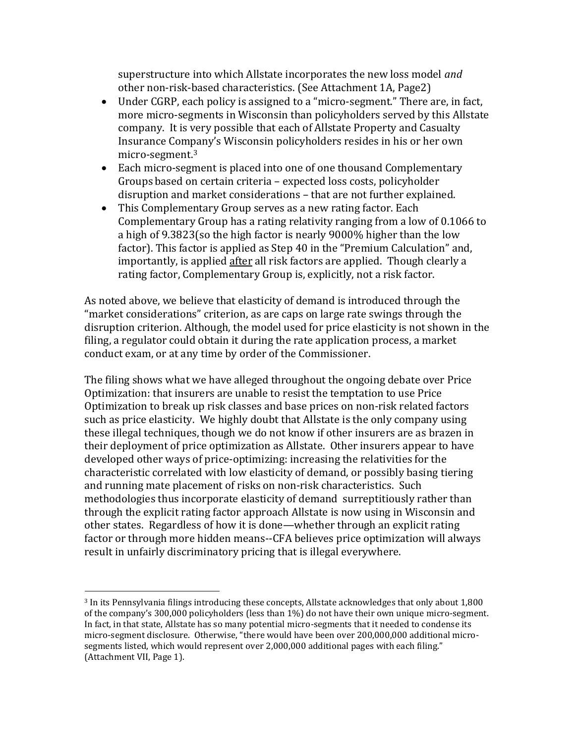superstructure into which Allstate incorporates the new loss model *and*  other non-risk-based characteristics. (See Attachment 1A, Page2)

- Under CGRP, each policy is assigned to a "micro-segment." There are, in fact, more micro-segments in Wisconsin than policyholders served by this Allstate company. It is very possible that each of Allstate Property and Casualty Insurance Company's Wisconsin policyholders resides in his or her own micro-segment.<sup>3</sup>
- Each micro-segment is placed into one of one thousand Complementary Groups based on certain criteria – expected loss costs, policyholder disruption and market considerations – that are not further explained.
- This Complementary Group serves as a new rating factor. Each Complementary Group has a rating relativity ranging from a low of 0.1066 to a high of 9.3823(so the high factor is nearly 9000% higher than the low factor). This factor is applied as Step 40 in the "Premium Calculation" and, importantly, is applied after all risk factors are applied. Though clearly a rating factor, Complementary Group is, explicitly, not a risk factor.

As noted above, we believe that elasticity of demand is introduced through the "market considerations" criterion, as are caps on large rate swings through the disruption criterion. Although, the model used for price elasticity is not shown in the filing, a regulator could obtain it during the rate application process, a market conduct exam, or at any time by order of the Commissioner.

The filing shows what we have alleged throughout the ongoing debate over Price Optimization: that insurers are unable to resist the temptation to use Price Optimization to break up risk classes and base prices on non-risk related factors such as price elasticity. We highly doubt that Allstate is the only company using these illegal techniques, though we do not know if other insurers are as brazen in their deployment of price optimization as Allstate. Other insurers appear to have developed other ways of price-optimizing: increasing the relativities for the characteristic correlated with low elasticity of demand, or possibly basing tiering and running mate placement of risks on non-risk characteristics. Such methodologies thus incorporate elasticity of demand surreptitiously rather than through the explicit rating factor approach Allstate is now using in Wisconsin and other states. Regardless of how it is done—whether through an explicit rating factor or through more hidden means--CFA believes price optimization will always result in unfairly discriminatory pricing that is illegal everywhere.

 $\overline{\phantom{a}}$ 

<sup>3</sup> In its Pennsylvania filings introducing these concepts, Allstate acknowledges that only about 1,800 of the company's 300,000 policyholders (less than 1%) do not have their own unique micro-segment. In fact, in that state, Allstate has so many potential micro-segments that it needed to condense its micro-segment disclosure. Otherwise, "there would have been over 200,000,000 additional microsegments listed, which would represent over 2,000,000 additional pages with each filing." (Attachment VII, Page 1).